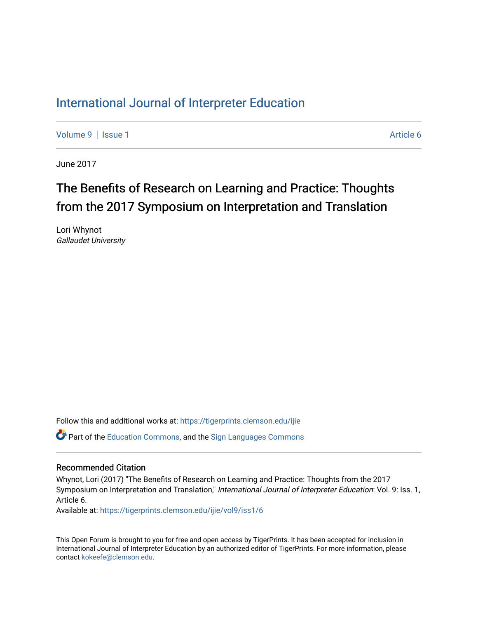## [International Journal of Interpreter Education](https://tigerprints.clemson.edu/ijie)

[Volume 9](https://tigerprints.clemson.edu/ijie/vol9) | [Issue 1](https://tigerprints.clemson.edu/ijie/vol9/iss1) Article 6

June 2017

## The Benefits of Research on Learning and Practice: Thoughts from the 2017 Symposium on Interpretation and Translation

Lori Whynot Gallaudet University

Follow this and additional works at: [https://tigerprints.clemson.edu/ijie](https://tigerprints.clemson.edu/ijie?utm_source=tigerprints.clemson.edu%2Fijie%2Fvol9%2Fiss1%2F6&utm_medium=PDF&utm_campaign=PDFCoverPages)  **P** Part of the [Education Commons](https://network.bepress.com/hgg/discipline/784?utm_source=tigerprints.clemson.edu%2Fijie%2Fvol9%2Fiss1%2F6&utm_medium=PDF&utm_campaign=PDFCoverPages), and the Sign Languages Commons

#### Recommended Citation

Whynot, Lori (2017) "The Benefits of Research on Learning and Practice: Thoughts from the 2017 Symposium on Interpretation and Translation," International Journal of Interpreter Education: Vol. 9: Iss. 1, Article 6.

Available at: [https://tigerprints.clemson.edu/ijie/vol9/iss1/6](https://tigerprints.clemson.edu/ijie/vol9/iss1/6?utm_source=tigerprints.clemson.edu%2Fijie%2Fvol9%2Fiss1%2F6&utm_medium=PDF&utm_campaign=PDFCoverPages)

This Open Forum is brought to you for free and open access by TigerPrints. It has been accepted for inclusion in International Journal of Interpreter Education by an authorized editor of TigerPrints. For more information, please contact [kokeefe@clemson.edu.](mailto:kokeefe@clemson.edu)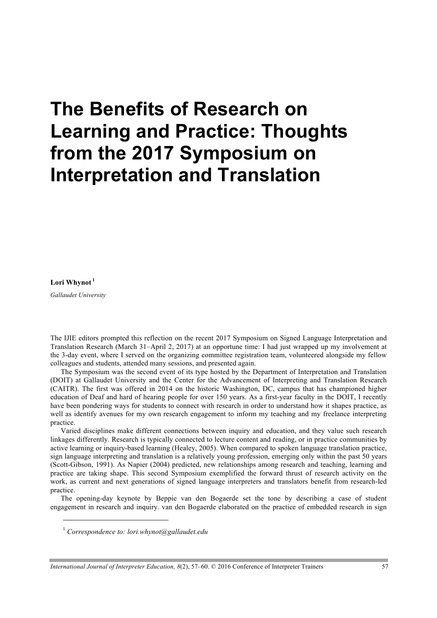# **The Benefits of Research on Learning and Practice: Thoughts from the 2017 Symposium on Interpretation and Translation**

**Lori Whynot <sup>1</sup>**

 $\overline{a}$ 

*Gallaudet University* 

The IJIE editors prompted this reflection on the recent 2017 Symposium on Signed Language Interpretation and Translation Research (March 31–April 2, 2017) at an opportune time: I had just wrapped up my involvement at the 3-day event, where I served on the organizing committee registration team, volunteered alongside my fellow colleagues and students, attended many sessions, and presented again.

The Symposium was the second event of its type hosted by the Department of Interpretation and Translation (DOIT) at Gallaudet University and the Center for the Advancement of Interpreting and Translation Research (CAITR). The first was offered in 2014 on the historic Washington, DC, campus that has championed higher education of Deaf and hard of hearing people for over 150 years. As a first-year faculty in the DOIT, I recently have been pondering ways for students to connect with research in order to understand how it shapes practice, as well as identify avenues for my own research engagement to inform my teaching and my freelance interpreting practice.

Varied disciplines make different connections between inquiry and education, and they value such research linkages differently. Research is typically connected to lecture content and reading, or in practice communities by active learning or inquiry-based learning (Healey, 2005). When compared to spoken language translation practice, sign language interpreting and translation is a relatively young profession, emerging only within the past 50 years (Scott-Gibson, 1991). As Napier (2004) predicted, new relationships among research and teaching, learning and practice are taking shape. This second Symposium exemplified the forward thrust of research activity on the work, as current and next generations of signed language interpreters and translators benefit from research-led practice.

The opening-day keynote by Beppie van den Bogaerde set the tone by describing a case of student engagement in research and inquiry. van den Bogaerde elaborated on the practice of embedded research in sign

<sup>1</sup> *Correspondence to: lori.whynot@gallaudet.edu*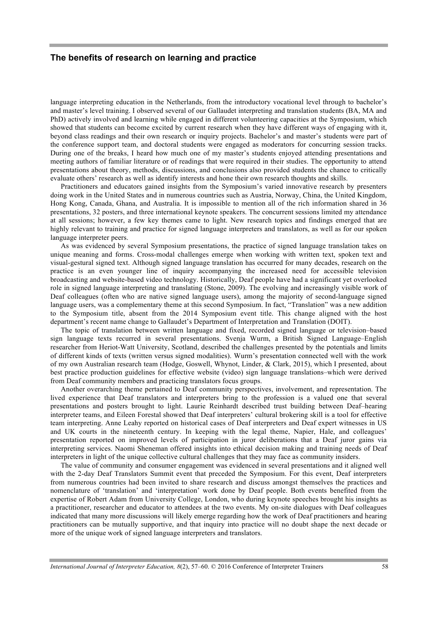#### **The benefits of research on learning and practice**

language interpreting education in the Netherlands, from the introductory vocational level through to bachelor's and master's level training. I observed several of our Gallaudet interpreting and translation students (BA, MA and PhD) actively involved and learning while engaged in different volunteering capacities at the Symposium, which showed that students can become excited by current research when they have different ways of engaging with it, beyond class readings and their own research or inquiry projects. Bachelor's and master's students were part of the conference support team, and doctoral students were engaged as moderators for concurring session tracks. During one of the breaks, I heard how much one of my master's students enjoyed attending presentations and meeting authors of familiar literature or of readings that were required in their studies. The opportunity to attend presentations about theory, methods, discussions, and conclusions also provided students the chance to critically evaluate others' research as well as identify interests and hone their own research thoughts and skills.

Practitioners and educators gained insights from the Symposium's varied innovative research by presenters doing work in the United States and in numerous countries such as Austria, Norway, China, the United Kingdom, Hong Kong, Canada, Ghana, and Australia. It is impossible to mention all of the rich information shared in 36 presentations, 32 posters, and three international keynote speakers. The concurrent sessions limited my attendance at all sessions; however, a few key themes came to light. New research topics and findings emerged that are highly relevant to training and practice for signed language interpreters and translators, as well as for our spoken language interpreter peers.

As was evidenced by several Symposium presentations, the practice of signed language translation takes on unique meaning and forms. Cross-modal challenges emerge when working with written text, spoken text and visual-gestural signed text. Although signed language translation has occurred for many decades, research on the practice is an even younger line of inquiry accompanying the increased need for accessible television broadcasting and website-based video technology. Historically, Deaf people have had a significant yet overlooked role in signed language interpreting and translating (Stone, 2009). The evolving and increasingly visible work of Deaf colleagues (often who are native signed language users), among the majority of second-language signed language users, was a complementary theme at this second Symposium. In fact, "Translation" was a new addition to the Symposium title, absent from the 2014 Symposium event title. This change aligned with the host department's recent name change to Gallaudet's Department of Interpretation and Translation (DOIT).

The topic of translation between written language and fixed, recorded signed language or television–based sign language texts recurred in several presentations. Svenja Wurm, a British Signed Language–English researcher from Heriot-Watt University, Scotland, described the challenges presented by the potentials and limits of different kinds of texts (written versus signed modalities). Wurm's presentation connected well with the work of my own Australian research team (Hodge, Goswell, Whynot, Linder, & Clark, 2015), which I presented, about best practice production guidelines for effective website (video) sign language translations–which were derived from Deaf community members and practicing translators focus groups.

Another overarching theme pertained to Deaf community perspectives, involvement, and representation. The lived experience that Deaf translators and interpreters bring to the profession is a valued one that several presentations and posters brought to light. Laurie Reinhardt described trust building between Deaf–hearing interpreter teams, and Eileen Forestal showed that Deaf interpreters' cultural brokering skill is a tool for effective team interpreting. Anne Leahy reported on historical cases of Deaf interpreters and Deaf expert witnesses in US and UK courts in the nineteenth century. In keeping with the legal theme, Napier, Hale, and colleagues' presentation reported on improved levels of participation in juror deliberations that a Deaf juror gains via interpreting services. Naomi Sheneman offered insights into ethical decision making and training needs of Deaf interpreters in light of the unique collective cultural challenges that they may face as community insiders.

The value of community and consumer engagement was evidenced in several presentations and it aligned well with the 2-day Deaf Translators Summit event that preceded the Symposium. For this event, Deaf interpreters from numerous countries had been invited to share research and discuss amongst themselves the practices and nomenclature of 'translation' and 'interpretation' work done by Deaf people. Both events benefited from the expertise of Robert Adam from University College, London, who during keynote speeches brought his insights as a practitioner, researcher and educator to attendees at the two events. My on-site dialogues with Deaf colleagues indicated that many more discussions will likely emerge regarding how the work of Deaf practitioners and hearing practitioners can be mutually supportive, and that inquiry into practice will no doubt shape the next decade or more of the unique work of signed language interpreters and translators.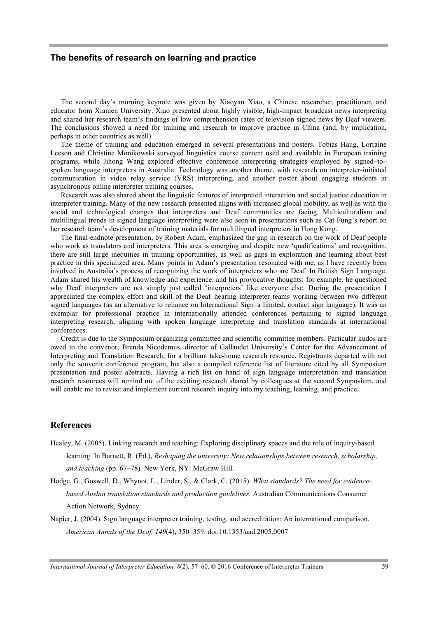#### **The benefits of research on learning and practice**

The second day's morning keynote was given by Xiaoyan Xiao, a Chinese researcher, practitioner, and educator from Xiamen University. Xiao presented about highly visible, high-impact broadcast news interpreting and shared her research team's findings of low comprehension rates of television signed news by Deaf viewers. The conclusions showed a need for training and research to improve practice in China (and, by implication, perhaps in other countries as well).

The theme of training and education emerged in several presentations and posters. Tobias Haug, Lorraine Leeson and Christine Monikowski surveyed linguistics course content used and available in European training programs, while Jihong Wang explored effective conference interpreting strategies employed by signed–to– spoken language interpreters in Australia. Technology was another theme, with research on interpreter-initiated communication in video relay service (VRS) interpreting, and another poster about engaging students in asynchronous online interpreter training courses.

Research was also shared about the linguistic features of interpreted interaction and social justice education in interpreter training. Many of the new research presented aligns with increased global mobility, as well as with the social and technological changes that interpreters and Deaf communities are facing. Multiculturalism and multilingual trends in signed language interpreting were also seen in presentations such as Cat Fung's report on her research team's development of training materials for multilingual interpreters in Hong Kong.

The final endnote presentation, by Robert Adam, emphasized the gap in research on the work of Deaf people who work as translators and interpreters. This area is emerging and despite new 'qualifications' and recognition, there are still large inequities in training opportunities, as well as gaps in exploration and learning about best practice in this specialized area. Many points in Adam's presentation resonated with me, as I have recently been involved in Australia's process of recognizing the work of interpreters who are Deaf. In British Sign Language, Adam shared his wealth of knowledge and experience, and his provocative thoughts; for example, he questioned why Deaf interpreters are not simply just called 'interpreters' like everyone else. During the presentation I appreciated the complex effort and skill of the Deaf–hearing interpreter teams working between two different signed languages (as an alternative to reliance on International Sign–a limited, contact sign language). It was an exemplar for professional practice in internationally attended conferences pertaining to signed language interpreting research, aligning with spoken language interpreting and translation standards at international conferences.

Credit is due to the Symposium organizing committee and scientific committee members. Particular kudos are owed to the convenor, Brenda Nicodemus, director of Gallaudet University's Center for the Advancement of Interpreting and Translation Research, for a brilliant take-home research resource. Registrants departed with not only the souvenir conference program, but also a compiled reference list of literature cited by all Symposium presentation and poster abstracts. Having a rich list on hand of sign language interpretation and translation research resources will remind me of the exciting research shared by colleagues at the second Symposium, and will enable me to revisit and implement current research inquiry into my teaching, learning, and practice.

#### **References**

- Healey, M. (2005). Linking research and teaching: Exploring disciplinary spaces and the role of inquiry-based learning. In Barnett, R. (Ed.), *Reshaping the university: New relationships between research, scholarship, and teaching* (pp. 67–78)*.* New York, NY: McGraw Hill.
- Hodge, G., Goswell, D., Whynot, L., Linder, S., & Clark, C. (2015). *What standards? The need for evidencebased Auslan translation standards and production guidelines.* Australian Communications Consumer Action Network, Sydney.
- Napier, J. (2004). Sign language interpreter training, testing, and accreditation: An international comparison. *American Annals of the Deaf, 149*(4), 350–359. doi:10.1353/aad.2005.0007